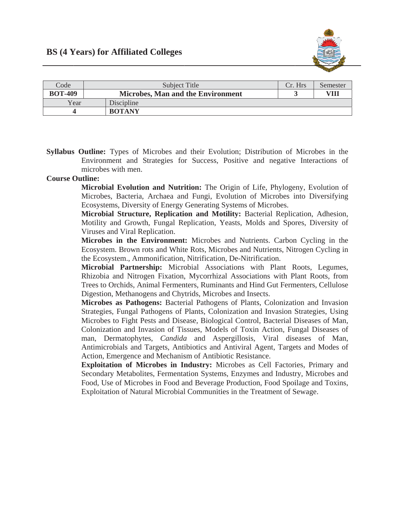

| Code           | Subject Title                            | Cr. Hrs | Semester |
|----------------|------------------------------------------|---------|----------|
| <b>BOT-409</b> | <b>Microbes, Man and the Environment</b> |         | VH       |
| Year           | Discipline                               |         |          |
|                | <b>BOTANY</b>                            |         |          |

**Syllabus Outline:** Types of Microbes and their Evolution; Distribution of Microbes in the Environment and Strategies for Success, Positive and negative Interactions of microbes with men.

## **Course Outline:**

Microbial Evolution and Nutrition: The Origin of Life, Phylogeny, Evolution of Microbes, Bacteria, Archaea and Fungi, Evolution of Microbes into Diversifying Ecosystems, Diversity of Energy Generating Systems of Microbes.

Microbial Structure, Replication and Motility: Bacterial Replication, Adhesion, Motility and Growth, Fungal Replication, Yeasts, Molds and Spores, Diversity of Viruses and Viral Replication.

Microbes in the Environment: Microbes and Nutrients. Carbon Cycling in the Ecosystem. Brown rots and White Rots, Microbes and Nutrients, Nitrogen Cycling in the Ecosystem., Ammonification, Nitrification, De-Nitrification.

Microbial Partnership: Microbial Associations with Plant Roots, Legumes, Rhizobia and Nitrogen Fixation, Mycorrhizal Associations with Plant Roots, from Trees to Orchids, Animal Fermenters, Ruminants and Hind Gut Fermenters, Cellulose Digestion, Methanogens and Chytrids, Microbes and Insects.

Microbes as Pathogens: Bacterial Pathogens of Plants, Colonization and Invasion Strategies, Fungal Pathogens of Plants, Colonization and Invasion Strategies, Using Microbes to Fight Pests and Disease, Biological Control, Bacterial Diseases of Man, Colonization and Invasion of Tissues, Models of Toxin Action, Fungal Diseases of man, Dermatophytes, *Candida* and Aspergillosis, Viral diseases of Man, Antimicrobials and Targets, Antibiotics and Antiviral Agent, Targets and Modes of Action, Emergence and Mechanism of Antibiotic Resistance.

Exploitation of Microbes in Industry: Microbes as Cell Factories, Primary and Secondary Metabolites, Fermentation Systems, Enzymes and Industry, Microbes and Food, Use of Microbes in Food and Beverage Production, Food Spoilage and Toxins, Exploitation of Natural Microbial Communities in the Treatment of Sewage.